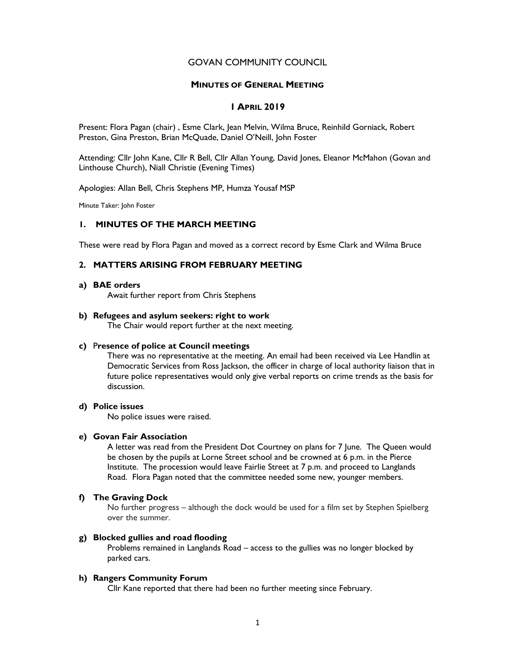## GOVAN COMMUNITY COUNCIL

## MINUTES OF GENERAL MEETING

# 1 APRIL 2019

Present: Flora Pagan (chair) , Esme Clark, Jean Melvin, Wilma Bruce, Reinhild Gorniack, Robert Preston, Gina Preston, Brian McQuade, Daniel O'Neill, John Foster

Attending: Cllr John Kane, Cllr R Bell, Cllr Allan Young, David Jones, Eleanor McMahon (Govan and Linthouse Church), Niall Christie (Evening Times)

Apologies: Allan Bell, Chris Stephens MP, Humza Yousaf MSP

Minute Taker: John Foster

# 1. MINUTES OF THE MARCH MEETING

These were read by Flora Pagan and moved as a correct record by Esme Clark and Wilma Bruce

# 2. MATTERS ARISING FROM FEBRUARY MEETING

#### a) BAE orders

Await further report from Chris Stephens

#### b) Refugees and asylum seekers: right to work

The Chair would report further at the next meeting.

#### c) Presence of police at Council meetings

There was no representative at the meeting. An email had been received via Lee Handlin at Democratic Services from Ross Jackson, the officer in charge of local authority liaison that in future police representatives would only give verbal reports on crime trends as the basis for discussion.

#### d) Police issues

No police issues were raised.

## e) Govan Fair Association

A letter was read from the President Dot Courtney on plans for 7 June. The Queen would be chosen by the pupils at Lorne Street school and be crowned at 6 p.m. in the Pierce Institute. The procession would leave Fairlie Street at 7 p.m. and proceed to Langlands Road. Flora Pagan noted that the committee needed some new, younger members.

#### f) The Graving Dock

No further progress – although the dock would be used for a film set by Stephen Spielberg over the summer.

## g) Blocked gullies and road flooding

Problems remained in Langlands Road – access to the gullies was no longer blocked by parked cars.

## h) Rangers Community Forum

Cllr Kane reported that there had been no further meeting since February.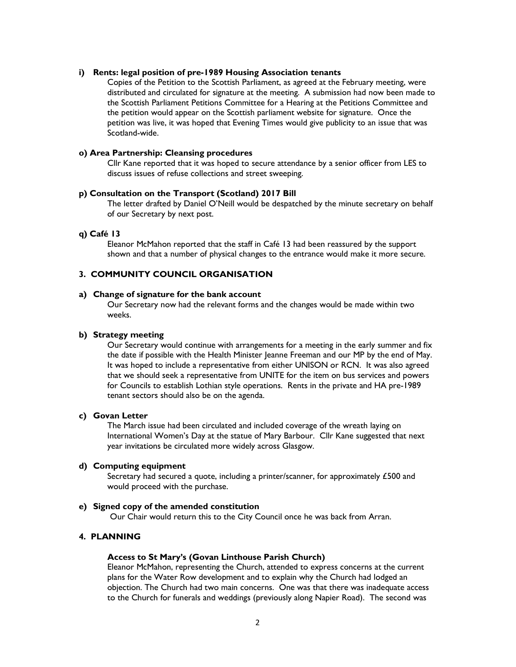## i) Rents: legal position of pre-1989 Housing Association tenants

Copies of the Petition to the Scottish Parliament, as agreed at the February meeting, were distributed and circulated for signature at the meeting. A submission had now been made to the Scottish Parliament Petitions Committee for a Hearing at the Petitions Committee and the petition would appear on the Scottish parliament website for signature. Once the petition was live, it was hoped that Evening Times would give publicity to an issue that was Scotland-wide.

## o) Area Partnership: Cleansing procedures

Cllr Kane reported that it was hoped to secure attendance by a senior officer from LES to discuss issues of refuse collections and street sweeping.

## p) Consultation on the Transport (Scotland) 2017 Bill

The letter drafted by Daniel O'Neill would be despatched by the minute secretary on behalf of our Secretary by next post.

## q) Café 13

Eleanor McMahon reported that the staff in Café 13 had been reassured by the support shown and that a number of physical changes to the entrance would make it more secure.

# 3. COMMUNITY COUNCIL ORGANISATION

#### a) Change of signature for the bank account

Our Secretary now had the relevant forms and the changes would be made within two weeks.

#### b) Strategy meeting

Our Secretary would continue with arrangements for a meeting in the early summer and fix the date if possible with the Health Minister Jeanne Freeman and our MP by the end of May. It was hoped to include a representative from either UNISON or RCN. It was also agreed that we should seek a representative from UNITE for the item on bus services and powers for Councils to establish Lothian style operations. Rents in the private and HA pre-1989 tenant sectors should also be on the agenda.

## c) Govan Letter

The March issue had been circulated and included coverage of the wreath laying on International Women's Day at the statue of Mary Barbour. Cllr Kane suggested that next year invitations be circulated more widely across Glasgow.

#### d) Computing equipment

Secretary had secured a quote, including a printer/scanner, for approximately £500 and would proceed with the purchase.

#### e) Signed copy of the amended constitution

Our Chair would return this to the City Council once he was back from Arran.

## 4. PLANNING

## Access to St Mary's (Govan Linthouse Parish Church)

Eleanor McMahon, representing the Church, attended to express concerns at the current plans for the Water Row development and to explain why the Church had lodged an objection. The Church had two main concerns. One was that there was inadequate access to the Church for funerals and weddings (previously along Napier Road). The second was